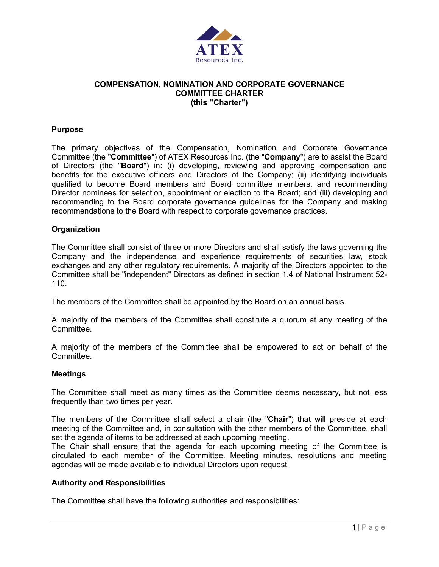

## **COMPENSATION, NOMINATION AND CORPORATE GOVERNANCE COMMITTEE CHARTER (this "Charter")**

### **Purpose**

The primary objectives of the Compensation, Nomination and Corporate Governance Committee (the "**Committee**") of ATEX Resources Inc. (the "**Company**") are to assist the Board of Directors (the "**Board**") in: (i) developing, reviewing and approving compensation and benefits for the executive officers and Directors of the Company; (ii) identifying individuals qualified to become Board members and Board committee members, and recommending Director nominees for selection, appointment or election to the Board; and (iii) developing and recommending to the Board corporate governance guidelines for the Company and making recommendations to the Board with respect to corporate governance practices.

#### **Organization**

The Committee shall consist of three or more Directors and shall satisfy the laws governing the Company and the independence and experience requirements of securities law, stock exchanges and any other regulatory requirements. A majority of the Directors appointed to the Committee shall be "independent" Directors as defined in section 1.4 of National Instrument 52- 110.

The members of the Committee shall be appointed by the Board on an annual basis.

A majority of the members of the Committee shall constitute a quorum at any meeting of the Committee.

A majority of the members of the Committee shall be empowered to act on behalf of the Committee.

#### **Meetings**

The Committee shall meet as many times as the Committee deems necessary, but not less frequently than two times per year.

The members of the Committee shall select a chair (the "**Chair**") that will preside at each meeting of the Committee and, in consultation with the other members of the Committee, shall set the agenda of items to be addressed at each upcoming meeting.

The Chair shall ensure that the agenda for each upcoming meeting of the Committee is circulated to each member of the Committee. Meeting minutes, resolutions and meeting agendas will be made available to individual Directors upon request.

#### **Authority and Responsibilities**

The Committee shall have the following authorities and responsibilities: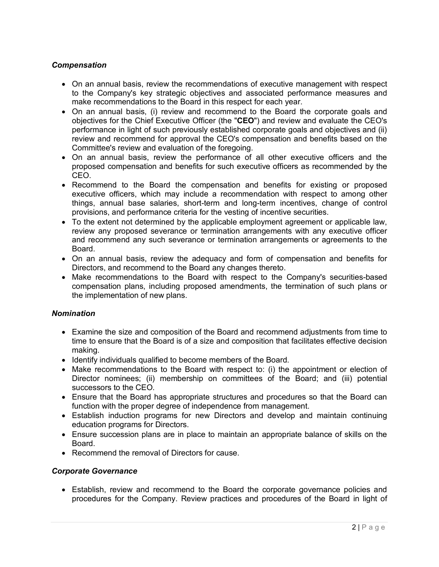## *Compensation*

- On an annual basis, review the recommendations of executive management with respect to the Company's key strategic objectives and associated performance measures and make recommendations to the Board in this respect for each year.
- On an annual basis, (i) review and recommend to the Board the corporate goals and objectives for the Chief Executive Officer (the "**CEO**") and review and evaluate the CEO's performance in light of such previously established corporate goals and objectives and (ii) review and recommend for approval the CEO's compensation and benefits based on the Committee's review and evaluation of the foregoing.
- On an annual basis, review the performance of all other executive officers and the proposed compensation and benefits for such executive officers as recommended by the CEO.
- Recommend to the Board the compensation and benefits for existing or proposed executive officers, which may include a recommendation with respect to among other things, annual base salaries, short-term and long-term incentives, change of control provisions, and performance criteria for the vesting of incentive securities.
- To the extent not determined by the applicable employment agreement or applicable law, review any proposed severance or termination arrangements with any executive officer and recommend any such severance or termination arrangements or agreements to the Board.
- On an annual basis, review the adequacy and form of compensation and benefits for Directors, and recommend to the Board any changes thereto.
- Make recommendations to the Board with respect to the Company's securities-based compensation plans, including proposed amendments, the termination of such plans or the implementation of new plans.

## *Nomination*

- Examine the size and composition of the Board and recommend adjustments from time to time to ensure that the Board is of a size and composition that facilitates effective decision making.
- Identify individuals qualified to become members of the Board.
- Make recommendations to the Board with respect to: (i) the appointment or election of Director nominees; (ii) membership on committees of the Board; and (iii) potential successors to the CEO.
- Ensure that the Board has appropriate structures and procedures so that the Board can function with the proper degree of independence from management.
- Establish induction programs for new Directors and develop and maintain continuing education programs for Directors.
- Ensure succession plans are in place to maintain an appropriate balance of skills on the Board.
- Recommend the removal of Directors for cause.

## *Corporate Governance*

• Establish, review and recommend to the Board the corporate governance policies and procedures for the Company. Review practices and procedures of the Board in light of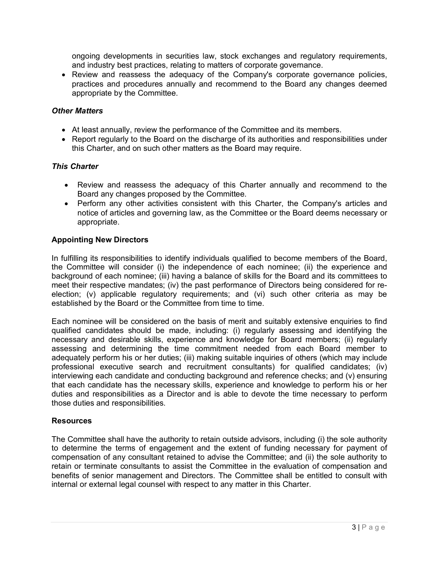ongoing developments in securities law, stock exchanges and regulatory requirements, and industry best practices, relating to matters of corporate governance.

• Review and reassess the adequacy of the Company's corporate governance policies, practices and procedures annually and recommend to the Board any changes deemed appropriate by the Committee.

## *Other Matters*

- At least annually, review the performance of the Committee and its members.
- Report regularly to the Board on the discharge of its authorities and responsibilities under this Charter, and on such other matters as the Board may require.

#### *This Charter*

- Review and reassess the adequacy of this Charter annually and recommend to the Board any changes proposed by the Committee.
- Perform any other activities consistent with this Charter, the Company's articles and notice of articles and governing law, as the Committee or the Board deems necessary or appropriate.

## **Appointing New Directors**

In fulfilling its responsibilities to identify individuals qualified to become members of the Board, the Committee will consider (i) the independence of each nominee; (ii) the experience and background of each nominee; (iii) having a balance of skills for the Board and its committees to meet their respective mandates; (iv) the past performance of Directors being considered for reelection; (v) applicable regulatory requirements; and (vi) such other criteria as may be established by the Board or the Committee from time to time.

Each nominee will be considered on the basis of merit and suitably extensive enquiries to find qualified candidates should be made, including: (i) regularly assessing and identifying the necessary and desirable skills, experience and knowledge for Board members; (ii) regularly assessing and determining the time commitment needed from each Board member to adequately perform his or her duties; (iii) making suitable inquiries of others (which may include professional executive search and recruitment consultants) for qualified candidates; (iv) interviewing each candidate and conducting background and reference checks; and (v) ensuring that each candidate has the necessary skills, experience and knowledge to perform his or her duties and responsibilities as a Director and is able to devote the time necessary to perform those duties and responsibilities.

#### **Resources**

The Committee shall have the authority to retain outside advisors, including (i) the sole authority to determine the terms of engagement and the extent of funding necessary for payment of compensation of any consultant retained to advise the Committee; and (ii) the sole authority to retain or terminate consultants to assist the Committee in the evaluation of compensation and benefits of senior management and Directors. The Committee shall be entitled to consult with internal or external legal counsel with respect to any matter in this Charter.